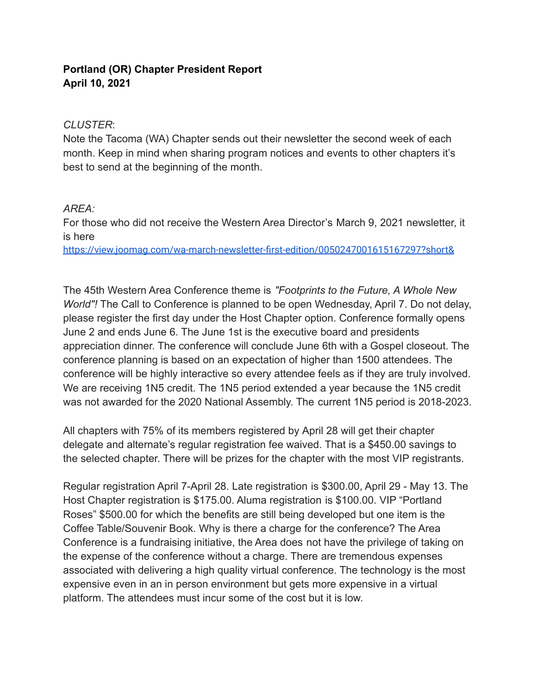## **Portland (OR) Chapter President Report April 10, 2021**

## *CLUSTER*:

Note the Tacoma (WA) Chapter sends out their newsletter the second week of each month. Keep in mind when sharing program notices and events to other chapters it's best to send at the beginning of the month.

## *AREA:*

For those who did not receive the Western Area Director's March 9, 2021 newsletter, it is here

<https://view.joomag.com/wa-march-newsletter-first-edition/0050247001615167297?short&>

The 45th Western Area Conference theme is *"Footprints to the Future, A Whole New World"!* The Call to Conference is planned to be open Wednesday, April 7. Do not delay, please register the first day under the Host Chapter option. Conference formally opens June 2 and ends June 6. The June 1st is the executive board and presidents appreciation dinner. The conference will conclude June 6th with a Gospel closeout. The conference planning is based on an expectation of higher than 1500 attendees. The conference will be highly interactive so every attendee feels as if they are truly involved. We are receiving 1N5 credit. The 1N5 period extended a year because the 1N5 credit was not awarded for the 2020 National Assembly. The current 1N5 period is 2018-2023.

All chapters with 75% of its members registered by April 28 will get their chapter delegate and alternate's regular registration fee waived. That is a \$450.00 savings to the selected chapter. There will be prizes for the chapter with the most VIP registrants.

Regular registration April 7-April 28. Late registration is \$300.00, April 29 - May 13. The Host Chapter registration is \$175.00. Aluma registration is \$100.00. VIP "Portland Roses" \$500.00 for which the benefits are still being developed but one item is the Coffee Table/Souvenir Book. Why is there a charge for the conference? The Area Conference is a fundraising initiative, the Area does not have the privilege of taking on the expense of the conference without a charge. There are tremendous expenses associated with delivering a high quality virtual conference. The technology is the most expensive even in an in person environment but gets more expensive in a virtual platform. The attendees must incur some of the cost but it is low.